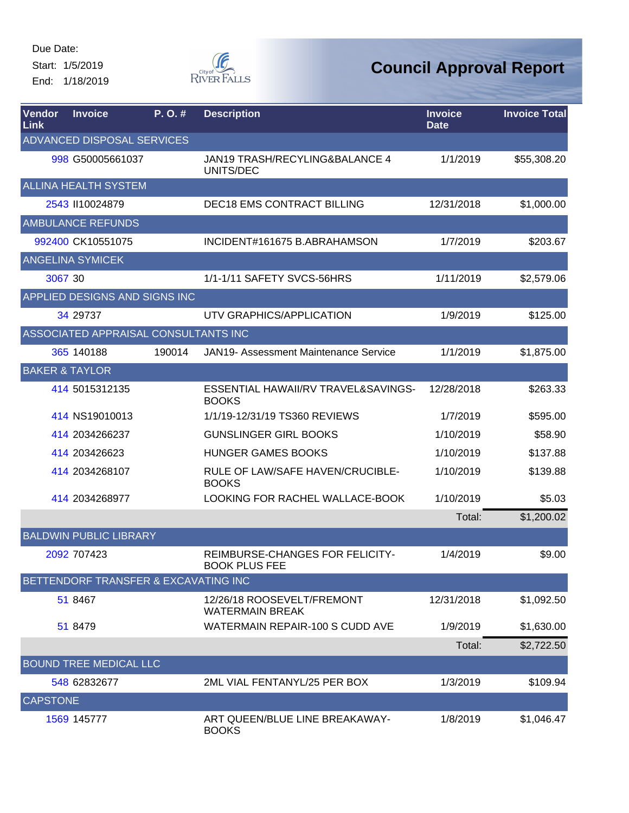Start: 1/5/2019 End: 1/18/2019



| Vendor<br>Link  | <b>Invoice</b>                       | P.O.#  | <b>Description</b>                                      | <b>Invoice</b><br><b>Date</b> | <b>Invoice Total</b> |
|-----------------|--------------------------------------|--------|---------------------------------------------------------|-------------------------------|----------------------|
|                 | ADVANCED DISPOSAL SERVICES           |        |                                                         |                               |                      |
|                 | 998 G50005661037                     |        | JAN19 TRASH/RECYLING&BALANCE 4<br>UNITS/DEC             | 1/1/2019                      | \$55,308.20          |
|                 | <b>ALLINA HEALTH SYSTEM</b>          |        |                                                         |                               |                      |
|                 | 2543 110024879                       |        | <b>DEC18 EMS CONTRACT BILLING</b>                       | 12/31/2018                    | \$1,000.00           |
|                 | <b>AMBULANCE REFUNDS</b>             |        |                                                         |                               |                      |
|                 | 992400 CK10551075                    |        | INCIDENT#161675 B.ABRAHAMSON                            | 1/7/2019                      | \$203.67             |
|                 | <b>ANGELINA SYMICEK</b>              |        |                                                         |                               |                      |
| 3067 30         |                                      |        | 1/1-1/11 SAFETY SVCS-56HRS                              | 1/11/2019                     | \$2,579.06           |
|                 | APPLIED DESIGNS AND SIGNS INC        |        |                                                         |                               |                      |
|                 | 34 29737                             |        | UTV GRAPHICS/APPLICATION                                | 1/9/2019                      | \$125.00             |
|                 | ASSOCIATED APPRAISAL CONSULTANTS INC |        |                                                         |                               |                      |
|                 | 365 140188                           | 190014 | JAN19- Assessment Maintenance Service                   | 1/1/2019                      | \$1,875.00           |
|                 | <b>BAKER &amp; TAYLOR</b>            |        |                                                         |                               |                      |
|                 | 414 5015312135                       |        | ESSENTIAL HAWAII/RV TRAVEL&SAVINGS-<br><b>BOOKS</b>     | 12/28/2018                    | \$263.33             |
|                 | 414 NS19010013                       |        | 1/1/19-12/31/19 TS360 REVIEWS                           | 1/7/2019                      | \$595.00             |
|                 | 414 2034266237                       |        | <b>GUNSLINGER GIRL BOOKS</b>                            | 1/10/2019                     | \$58.90              |
|                 | 414 203426623                        |        | <b>HUNGER GAMES BOOKS</b>                               | 1/10/2019                     | \$137.88             |
|                 | 414 2034268107                       |        | RULE OF LAW/SAFE HAVEN/CRUCIBLE-<br><b>BOOKS</b>        | 1/10/2019                     | \$139.88             |
|                 | 414 2034268977                       |        | LOOKING FOR RACHEL WALLACE-BOOK                         | 1/10/2019                     | \$5.03               |
|                 |                                      |        |                                                         | Total:                        | \$1,200.02           |
|                 | <b>BALDWIN PUBLIC LIBRARY</b>        |        |                                                         |                               |                      |
|                 | 2092 707423                          |        | REIMBURSE-CHANGES FOR FELICITY-<br><b>BOOK PLUS FEE</b> | 1/4/2019                      | \$9.00               |
|                 | BETTENDORF TRANSFER & EXCAVATING INC |        |                                                         |                               |                      |
|                 | 51 8467                              |        | 12/26/18 ROOSEVELT/FREMONT<br><b>WATERMAIN BREAK</b>    | 12/31/2018                    | \$1,092.50           |
|                 | 51 8479                              |        | WATERMAIN REPAIR-100 S CUDD AVE                         | 1/9/2019                      | \$1,630.00           |
|                 |                                      |        |                                                         | Total:                        | \$2,722.50           |
|                 | <b>BOUND TREE MEDICAL LLC</b>        |        |                                                         |                               |                      |
|                 | 548 62832677                         |        | 2ML VIAL FENTANYL/25 PER BOX                            | 1/3/2019                      | \$109.94             |
| <b>CAPSTONE</b> |                                      |        |                                                         |                               |                      |
|                 | 1569 145777                          |        | ART QUEEN/BLUE LINE BREAKAWAY-<br><b>BOOKS</b>          | 1/8/2019                      | \$1,046.47           |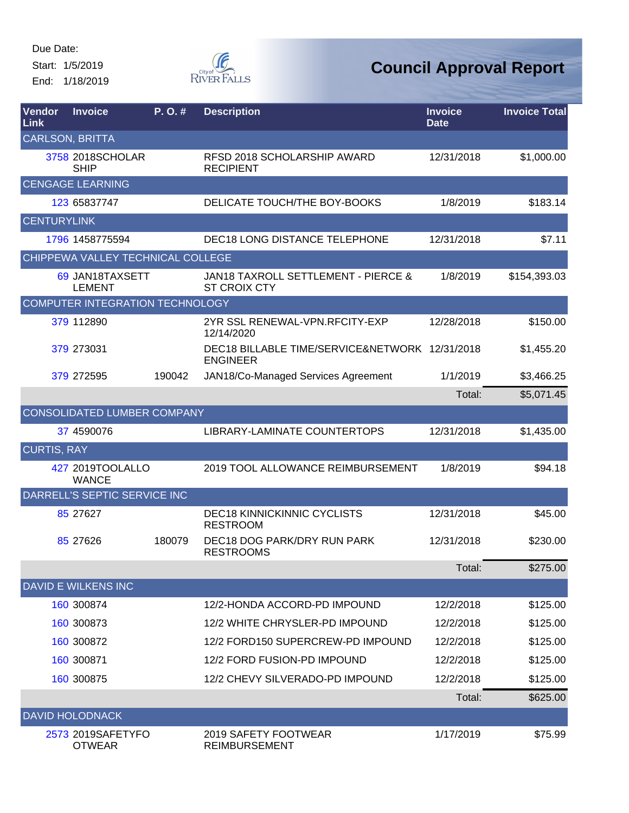Start: 1/5/2019 End: 1/18/2019



| Vendor<br>Link     | <b>Invoice</b>                     | P.O.#  | <b>Description</b>                                                | <b>Invoice</b><br><b>Date</b> | <b>Invoice Total</b> |
|--------------------|------------------------------------|--------|-------------------------------------------------------------------|-------------------------------|----------------------|
|                    | <b>CARLSON, BRITTA</b>             |        |                                                                   |                               |                      |
|                    | 3758 2018SCHOLAR<br><b>SHIP</b>    |        | RFSD 2018 SCHOLARSHIP AWARD<br><b>RECIPIENT</b>                   | 12/31/2018                    | \$1,000.00           |
|                    | <b>CENGAGE LEARNING</b>            |        |                                                                   |                               |                      |
|                    | 123 65837747                       |        | DELICATE TOUCH/THE BOY-BOOKS                                      | 1/8/2019                      | \$183.14             |
| <b>CENTURYLINK</b> |                                    |        |                                                                   |                               |                      |
|                    | 1796 1458775594                    |        | <b>DEC18 LONG DISTANCE TELEPHONE</b>                              | 12/31/2018                    | \$7.11               |
|                    | CHIPPEWA VALLEY TECHNICAL COLLEGE  |        |                                                                   |                               |                      |
|                    | 69 JAN18TAXSETT<br><b>LEMENT</b>   |        | JAN18 TAXROLL SETTLEMENT - PIERCE &<br><b>ST CROIX CTY</b>        | 1/8/2019                      | \$154,393.03         |
|                    | COMPUTER INTEGRATION TECHNOLOGY    |        |                                                                   |                               |                      |
|                    | 379 112890                         |        | 2YR SSL RENEWAL-VPN.RFCITY-EXP<br>12/14/2020                      | 12/28/2018                    | \$150.00             |
|                    | 379 273031                         |        | DEC18 BILLABLE TIME/SERVICE&NETWORK 12/31/2018<br><b>ENGINEER</b> |                               | \$1,455.20           |
|                    | 379 272595                         | 190042 | JAN18/Co-Managed Services Agreement                               | 1/1/2019                      | \$3,466.25           |
|                    |                                    |        |                                                                   | Total:                        | \$5,071.45           |
|                    | CONSOLIDATED LUMBER COMPANY        |        |                                                                   |                               |                      |
|                    | 37 4590076                         |        | LIBRARY-LAMINATE COUNTERTOPS                                      | 12/31/2018                    | \$1,435.00           |
| <b>CURTIS, RAY</b> |                                    |        |                                                                   |                               |                      |
|                    | 427 2019TOOLALLO<br><b>WANCE</b>   |        | 2019 TOOL ALLOWANCE REIMBURSEMENT                                 | 1/8/2019                      | \$94.18              |
|                    | DARRELL'S SEPTIC SERVICE INC       |        |                                                                   |                               |                      |
|                    | 85 27627                           |        | <b>DEC18 KINNICKINNIC CYCLISTS</b><br><b>RESTROOM</b>             | 12/31/2018                    | \$45.00              |
|                    | 85 27626                           | 180079 | DEC18 DOG PARK/DRY RUN PARK<br><b>RESTROOMS</b>                   | 12/31/2018                    | \$230.00             |
|                    |                                    |        |                                                                   | Total:                        | \$275.00             |
|                    | <b>DAVID E WILKENS INC</b>         |        |                                                                   |                               |                      |
|                    | 160 300874                         |        | 12/2-HONDA ACCORD-PD IMPOUND                                      | 12/2/2018                     | \$125.00             |
|                    | 160 300873                         |        | 12/2 WHITE CHRYSLER-PD IMPOUND                                    | 12/2/2018                     | \$125.00             |
|                    | 160 300872                         |        | 12/2 FORD150 SUPERCREW-PD IMPOUND                                 | 12/2/2018                     | \$125.00             |
|                    | 160 300871                         |        | 12/2 FORD FUSION-PD IMPOUND                                       | 12/2/2018                     | \$125.00             |
|                    | 160 300875                         |        | 12/2 CHEVY SILVERADO-PD IMPOUND                                   | 12/2/2018                     | \$125.00             |
|                    |                                    |        |                                                                   | Total:                        | \$625.00             |
|                    | <b>DAVID HOLODNACK</b>             |        |                                                                   |                               |                      |
|                    | 2573 2019SAFETYFO<br><b>OTWEAR</b> |        | 2019 SAFETY FOOTWEAR<br><b>REIMBURSEMENT</b>                      | 1/17/2019                     | \$75.99              |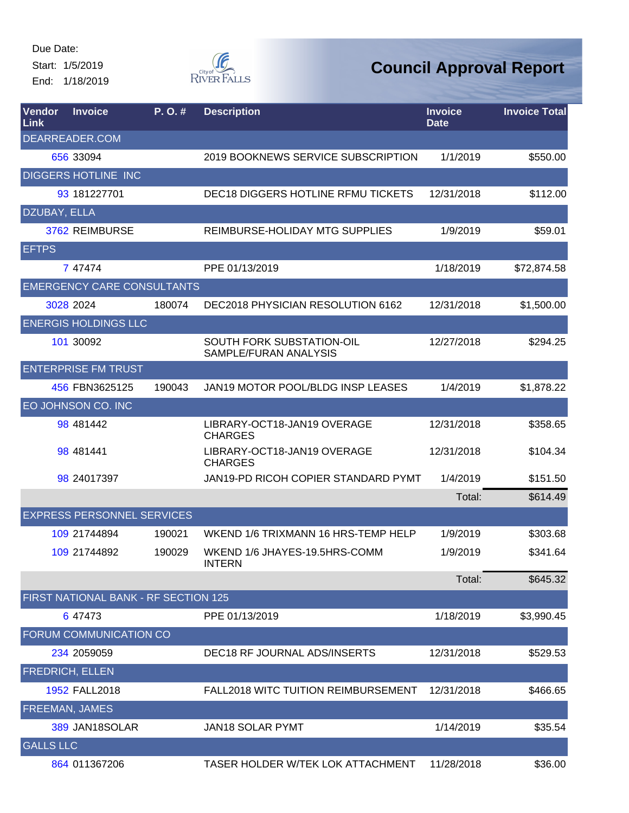Start: 1/5/2019 End: 1/18/2019



| Vendor<br>Link   | <b>Invoice</b>                       | P.O.#  | <b>Description</b>                                 | <b>Invoice</b><br>Date | <b>Invoice Total</b> |
|------------------|--------------------------------------|--------|----------------------------------------------------|------------------------|----------------------|
|                  | DEARREADER.COM                       |        |                                                    |                        |                      |
|                  | 656 33094                            |        | 2019 BOOKNEWS SERVICE SUBSCRIPTION                 | 1/1/2019               | \$550.00             |
|                  | <b>DIGGERS HOTLINE INC</b>           |        |                                                    |                        |                      |
|                  | 93 181227701                         |        | DEC18 DIGGERS HOTLINE RFMU TICKETS                 | 12/31/2018             | \$112.00             |
| DZUBAY, ELLA     |                                      |        |                                                    |                        |                      |
|                  | 3762 REIMBURSE                       |        | REIMBURSE-HOLIDAY MTG SUPPLIES                     | 1/9/2019               | \$59.01              |
| <b>EFTPS</b>     |                                      |        |                                                    |                        |                      |
|                  | 7 47474                              |        | PPE 01/13/2019                                     | 1/18/2019              | \$72,874.58          |
|                  | <b>EMERGENCY CARE CONSULTANTS</b>    |        |                                                    |                        |                      |
|                  | 3028 2024                            | 180074 | DEC2018 PHYSICIAN RESOLUTION 6162                  | 12/31/2018             | \$1,500.00           |
|                  | <b>ENERGIS HOLDINGS LLC</b>          |        |                                                    |                        |                      |
|                  | 101 30092                            |        | SOUTH FORK SUBSTATION-OIL<br>SAMPLE/FURAN ANALYSIS | 12/27/2018             | \$294.25             |
|                  | <b>ENTERPRISE FM TRUST</b>           |        |                                                    |                        |                      |
|                  | 456 FBN3625125                       | 190043 | JAN19 MOTOR POOL/BLDG INSP LEASES                  | 1/4/2019               | \$1,878.22           |
|                  | EO JOHNSON CO. INC                   |        |                                                    |                        |                      |
|                  | 98 481442                            |        | LIBRARY-OCT18-JAN19 OVERAGE<br><b>CHARGES</b>      | 12/31/2018             | \$358.65             |
|                  | 98 481441                            |        | LIBRARY-OCT18-JAN19 OVERAGE<br><b>CHARGES</b>      | 12/31/2018             | \$104.34             |
|                  | 98 24017397                          |        | JAN19-PD RICOH COPIER STANDARD PYMT                | 1/4/2019               | \$151.50             |
|                  |                                      |        |                                                    | Total:                 | \$614.49             |
|                  | <b>EXPRESS PERSONNEL SERVICES</b>    |        |                                                    |                        |                      |
|                  | 109 21744894                         | 190021 | WKEND 1/6 TRIXMANN 16 HRS-TEMP HELP                | 1/9/2019               | \$303.68             |
|                  | 109 21744892                         | 190029 | WKEND 1/6 JHAYES-19.5HRS-COMM<br><b>INTERN</b>     | 1/9/2019               | \$341.64             |
|                  |                                      |        |                                                    | Total:                 | \$645.32             |
|                  | FIRST NATIONAL BANK - RF SECTION 125 |        |                                                    |                        |                      |
|                  | 6 47473                              |        | PPE 01/13/2019                                     | 1/18/2019              | \$3,990.45           |
|                  | FORUM COMMUNICATION CO               |        |                                                    |                        |                      |
|                  | 234 2059059                          |        | DEC18 RF JOURNAL ADS/INSERTS                       | 12/31/2018             | \$529.53             |
|                  | <b>FREDRICH, ELLEN</b>               |        |                                                    |                        |                      |
|                  | 1952 FALL2018                        |        | <b>FALL2018 WITC TUITION REIMBURSEMENT</b>         | 12/31/2018             | \$466.65             |
|                  | FREEMAN, JAMES                       |        |                                                    |                        |                      |
|                  | 389 JAN18SOLAR                       |        | <b>JAN18 SOLAR PYMT</b>                            | 1/14/2019              | \$35.54              |
| <b>GALLS LLC</b> |                                      |        |                                                    |                        |                      |
|                  | 864 011367206                        |        | TASER HOLDER W/TEK LOK ATTACHMENT                  | 11/28/2018             | \$36.00              |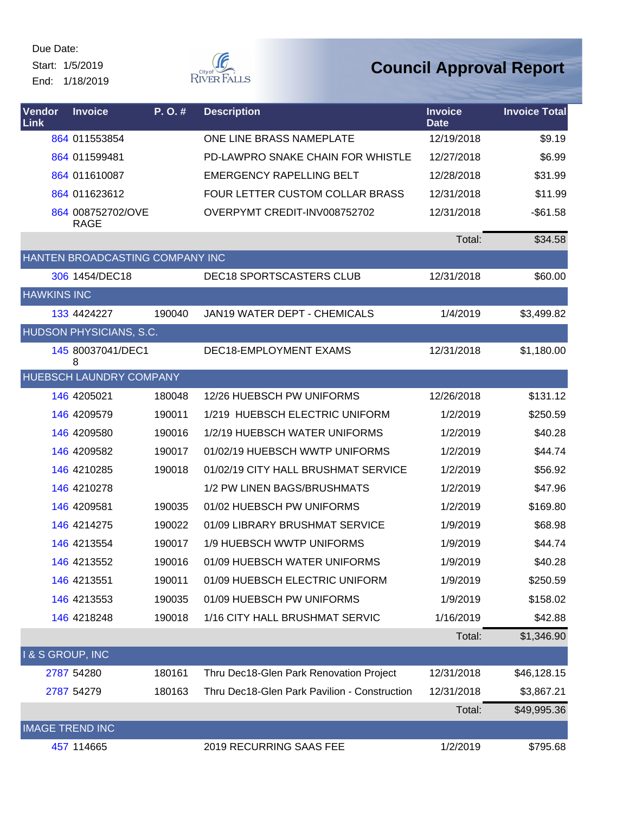Start: 1/5/2019 End: 1/18/2019  $\begin{picture}(120,110) \put(0,0){\line(1,0){150}} \put(15,0){\line(1,0){150}} \put(15,0){\line(1,0){150}} \put(15,0){\line(1,0){150}} \put(15,0){\line(1,0){150}} \put(15,0){\line(1,0){150}} \put(15,0){\line(1,0){150}} \put(15,0){\line(1,0){150}} \put(15,0){\line(1,0){150}} \put(15,0){\line(1,0){150}} \put(15,0){\line(1,0){150$ 

| Vendor<br>Link             | <b>Invoice</b>                   | P.O.#  | <b>Description</b>                           | <b>Invoice</b><br><b>Date</b> | <b>Invoice Total</b> |
|----------------------------|----------------------------------|--------|----------------------------------------------|-------------------------------|----------------------|
|                            | 864 011553854                    |        | ONE LINE BRASS NAMEPLATE                     | 12/19/2018                    | \$9.19               |
|                            | 864 011599481                    |        | PD-LAWPRO SNAKE CHAIN FOR WHISTLE            | 12/27/2018                    | \$6.99               |
|                            | 864 011610087                    |        | <b>EMERGENCY RAPELLING BELT</b>              | 12/28/2018                    | \$31.99              |
|                            | 864 011623612                    |        | FOUR LETTER CUSTOM COLLAR BRASS              | 12/31/2018                    | \$11.99              |
|                            | 864 008752702/OVE<br><b>RAGE</b> |        | OVERPYMT CREDIT-INV008752702                 | 12/31/2018                    | $-$ \$61.58          |
|                            |                                  |        |                                              | Total:                        | \$34.58              |
|                            | HANTEN BROADCASTING COMPANY INC  |        |                                              |                               |                      |
|                            | 306 1454/DEC18                   |        | DEC18 SPORTSCASTERS CLUB                     | 12/31/2018                    | \$60.00              |
| <b>HAWKINS INC</b>         |                                  |        |                                              |                               |                      |
|                            | 133 4424227                      | 190040 | <b>JAN19 WATER DEPT - CHEMICALS</b>          | 1/4/2019                      | \$3,499.82           |
|                            | HUDSON PHYSICIANS, S.C.          |        |                                              |                               |                      |
|                            | 145 80037041/DEC1<br>8           |        | DEC18-EMPLOYMENT EXAMS                       | 12/31/2018                    | \$1,180.00           |
|                            | HUEBSCH LAUNDRY COMPANY          |        |                                              |                               |                      |
|                            | 146 4205021                      | 180048 | 12/26 HUEBSCH PW UNIFORMS                    | 12/26/2018                    | \$131.12             |
|                            | 146 4209579                      | 190011 | 1/219 HUEBSCH ELECTRIC UNIFORM               | 1/2/2019                      | \$250.59             |
|                            | 146 4209580                      | 190016 | 1/2/19 HUEBSCH WATER UNIFORMS                | 1/2/2019                      | \$40.28              |
|                            | 146 4209582                      | 190017 | 01/02/19 HUEBSCH WWTP UNIFORMS               | 1/2/2019                      | \$44.74              |
|                            | 146 4210285                      | 190018 | 01/02/19 CITY HALL BRUSHMAT SERVICE          | 1/2/2019                      | \$56.92              |
|                            | 146 4210278                      |        | 1/2 PW LINEN BAGS/BRUSHMATS                  | 1/2/2019                      | \$47.96              |
|                            | 146 4209581                      | 190035 | 01/02 HUEBSCH PW UNIFORMS                    | 1/2/2019                      | \$169.80             |
|                            | 146 4214275                      | 190022 | 01/09 LIBRARY BRUSHMAT SERVICE               | 1/9/2019                      | \$68.98              |
|                            | 146 4213554                      | 190017 | 1/9 HUEBSCH WWTP UNIFORMS                    | 1/9/2019                      | \$44.74              |
|                            | 146 4213552                      | 190016 | 01/09 HUEBSCH WATER UNIFORMS                 | 1/9/2019                      | \$40.28              |
|                            | 146 4213551                      | 190011 | 01/09 HUEBSCH ELECTRIC UNIFORM               | 1/9/2019                      | \$250.59             |
|                            | 146 4213553                      | 190035 | 01/09 HUEBSCH PW UNIFORMS                    | 1/9/2019                      | \$158.02             |
|                            | 146 4218248                      | 190018 | 1/16 CITY HALL BRUSHMAT SERVIC               | 1/16/2019                     | \$42.88              |
|                            |                                  |        |                                              | Total:                        | \$1,346.90           |
| <b>1&amp; S GROUP, INC</b> |                                  |        |                                              |                               |                      |
|                            | 2787 54280                       | 180161 | Thru Dec18-Glen Park Renovation Project      | 12/31/2018                    | \$46,128.15          |
|                            | 2787 54279                       | 180163 | Thru Dec18-Glen Park Pavilion - Construction | 12/31/2018                    | \$3,867.21           |
|                            |                                  |        |                                              | Total:                        | \$49,995.36          |
|                            | <b>IMAGE TREND INC</b>           |        |                                              |                               |                      |
|                            | 457 114665                       |        | 2019 RECURRING SAAS FEE                      | 1/2/2019                      | \$795.68             |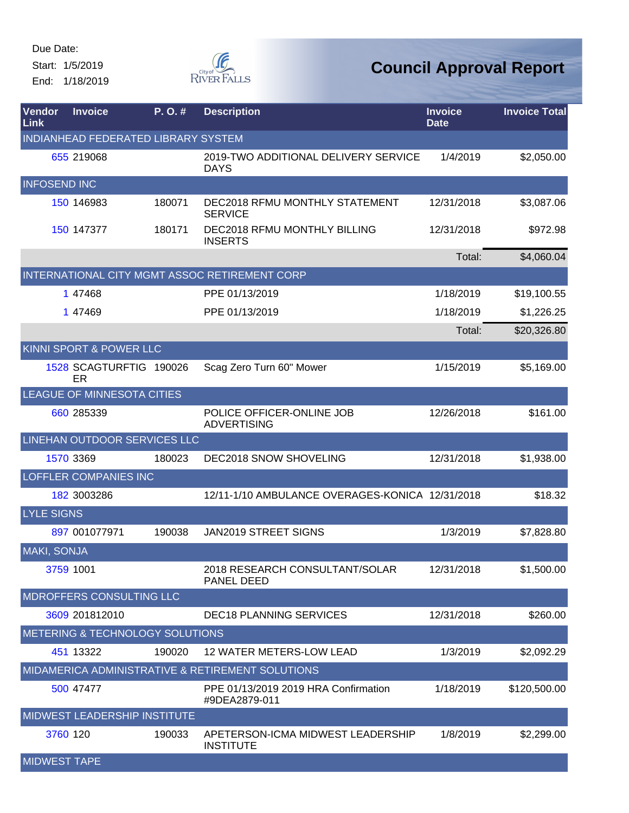Start: 1/5/2019 End: 1/18/2019



| Vendor<br>Link      | <b>Invoice</b>                             | $P. O.$ # | <b>Description</b>                                    | <b>Invoice</b><br><b>Date</b> | <b>Invoice Total</b> |
|---------------------|--------------------------------------------|-----------|-------------------------------------------------------|-------------------------------|----------------------|
|                     | INDIANHEAD FEDERATED LIBRARY SYSTEM        |           |                                                       |                               |                      |
|                     | 655 219068                                 |           | 2019-TWO ADDITIONAL DELIVERY SERVICE<br><b>DAYS</b>   | 1/4/2019                      | \$2,050.00           |
| <b>INFOSEND INC</b> |                                            |           |                                                       |                               |                      |
|                     | 150 146983                                 | 180071    | DEC2018 RFMU MONTHLY STATEMENT<br><b>SERVICE</b>      | 12/31/2018                    | \$3,087.06           |
|                     | 150 147377                                 | 180171    | DEC2018 RFMU MONTHLY BILLING<br><b>INSERTS</b>        | 12/31/2018                    | \$972.98             |
|                     |                                            |           |                                                       | Total:                        | \$4,060.04           |
|                     |                                            |           | INTERNATIONAL CITY MGMT ASSOC RETIREMENT CORP         |                               |                      |
|                     | 1 47468                                    |           | PPE 01/13/2019                                        | 1/18/2019                     | \$19,100.55          |
|                     | 1 47469                                    |           | PPE 01/13/2019                                        | 1/18/2019                     | \$1,226.25           |
|                     |                                            |           |                                                       | Total:                        | \$20,326.80          |
|                     | <b>KINNI SPORT &amp; POWER LLC</b>         |           |                                                       |                               |                      |
|                     | 1528 SCAGTURFTIG 190026<br>ER              |           | Scag Zero Turn 60" Mower                              | 1/15/2019                     | \$5,169.00           |
|                     | LEAGUE OF MINNESOTA CITIES                 |           |                                                       |                               |                      |
|                     | 660 285339                                 |           | POLICE OFFICER-ONLINE JOB<br><b>ADVERTISING</b>       | 12/26/2018                    | \$161.00             |
|                     | LINEHAN OUTDOOR SERVICES LLC               |           |                                                       |                               |                      |
|                     | 1570 3369                                  | 180023    | DEC2018 SNOW SHOVELING                                | 12/31/2018                    | \$1,938.00           |
|                     | LOFFLER COMPANIES INC                      |           |                                                       |                               |                      |
|                     | 182 3003286                                |           | 12/11-1/10 AMBULANCE OVERAGES-KONICA 12/31/2018       |                               | \$18.32              |
| <b>LYLE SIGNS</b>   |                                            |           |                                                       |                               |                      |
|                     | 897 001077971                              | 190038    | <b>JAN2019 STREET SIGNS</b>                           | 1/3/2019                      | \$7,828.80           |
| <b>MAKI, SONJA</b>  |                                            |           |                                                       |                               |                      |
|                     | 3759 1001                                  |           | 2018 RESEARCH CONSULTANT/SOLAR<br><b>PANEL DEED</b>   | 12/31/2018                    | \$1,500.00           |
|                     | MDROFFERS CONSULTING LLC                   |           |                                                       |                               |                      |
|                     | 3609 201812010                             |           | <b>DEC18 PLANNING SERVICES</b>                        | 12/31/2018                    | \$260.00             |
|                     | <b>METERING &amp; TECHNOLOGY SOLUTIONS</b> |           |                                                       |                               |                      |
|                     | 451 13322                                  | 190020    | 12 WATER METERS-LOW LEAD                              | 1/3/2019                      | \$2,092.29           |
|                     |                                            |           | MIDAMERICA ADMINISTRATIVE & RETIREMENT SOLUTIONS      |                               |                      |
|                     | 500 47477                                  |           | PPE 01/13/2019 2019 HRA Confirmation<br>#9DEA2879-011 | 1/18/2019                     | \$120,500.00         |
|                     | MIDWEST LEADERSHIP INSTITUTE               |           |                                                       |                               |                      |
| 3760 120            |                                            | 190033    | APETERSON-ICMA MIDWEST LEADERSHIP<br><b>INSTITUTE</b> | 1/8/2019                      | \$2,299.00           |
| <b>MIDWEST TAPE</b> |                                            |           |                                                       |                               |                      |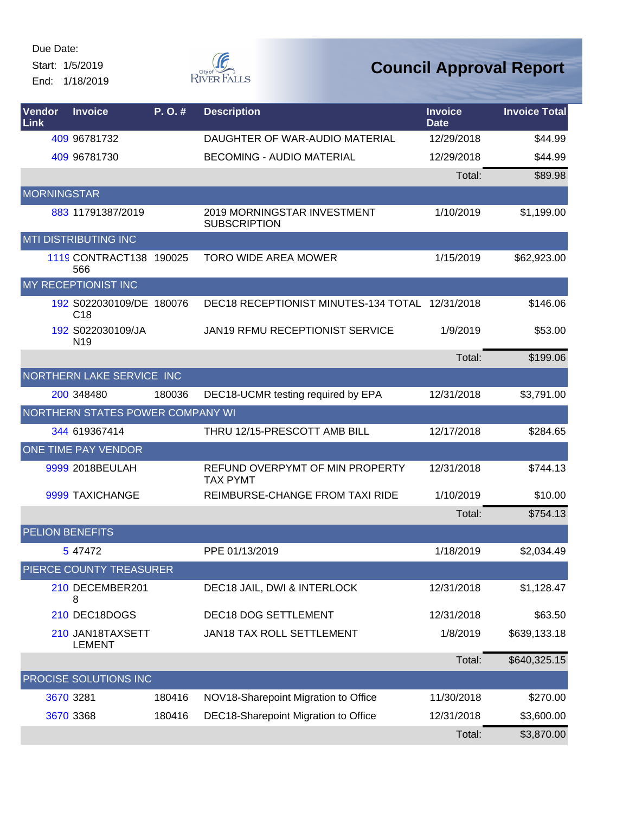Start: 1/5/2019 End: 1/18/2019

**F** RIVER FALLS

| <b>Vendor</b><br>Link | <b>Invoice</b>                              | P.O.#  | <b>Description</b>                                        | <b>Invoice</b><br><b>Date</b> | <b>Invoice Total</b> |
|-----------------------|---------------------------------------------|--------|-----------------------------------------------------------|-------------------------------|----------------------|
|                       | 409 96781732                                |        | DAUGHTER OF WAR-AUDIO MATERIAL                            | 12/29/2018                    | \$44.99              |
|                       | 409 96781730                                |        | <b>BECOMING - AUDIO MATERIAL</b>                          | 12/29/2018                    | \$44.99              |
|                       |                                             |        |                                                           | Total:                        | \$89.98              |
| <b>MORNINGSTAR</b>    |                                             |        |                                                           |                               |                      |
|                       | 883 11791387/2019                           |        | <b>2019 MORNINGSTAR INVESTMENT</b><br><b>SUBSCRIPTION</b> | 1/10/2019                     | \$1,199.00           |
|                       | <b>MTI DISTRIBUTING INC</b>                 |        |                                                           |                               |                      |
|                       | 1119 CONTRACT138 190025<br>566              |        | <b>TORO WIDE AREA MOWER</b>                               | 1/15/2019                     | \$62,923.00          |
|                       | MY RECEPTIONIST INC                         |        |                                                           |                               |                      |
|                       | 192 S022030109/DE 180076<br>C <sub>18</sub> |        | DEC18 RECEPTIONIST MINUTES-134 TOTAL 12/31/2018           |                               | \$146.06             |
|                       | 192 S022030109/JA<br>N <sub>19</sub>        |        | <b>JAN19 RFMU RECEPTIONIST SERVICE</b>                    | 1/9/2019                      | \$53.00              |
|                       |                                             |        |                                                           | Total:                        | \$199.06             |
|                       | NORTHERN LAKE SERVICE INC                   |        |                                                           |                               |                      |
|                       | 200 348480                                  | 180036 | DEC18-UCMR testing required by EPA                        | 12/31/2018                    | \$3,791.00           |
|                       | NORTHERN STATES POWER COMPANY WI            |        |                                                           |                               |                      |
|                       | 344 619367414                               |        | THRU 12/15-PRESCOTT AMB BILL                              | 12/17/2018                    | \$284.65             |
|                       | ONE TIME PAY VENDOR                         |        |                                                           |                               |                      |
|                       | 9999 2018BEULAH                             |        | REFUND OVERPYMT OF MIN PROPERTY<br><b>TAX PYMT</b>        | 12/31/2018                    | \$744.13             |
|                       | 9999 TAXICHANGE                             |        | REIMBURSE-CHANGE FROM TAXI RIDE                           | 1/10/2019                     | \$10.00              |
|                       |                                             |        |                                                           | Total:                        | \$754.13             |
|                       | <b>PELION BENEFITS</b>                      |        |                                                           |                               |                      |
|                       | 5 47472                                     |        | PPE 01/13/2019                                            | 1/18/2019                     | \$2,034.49           |
|                       | PIERCE COUNTY TREASURER                     |        |                                                           |                               |                      |
|                       | 210 DECEMBER201<br>8                        |        | DEC18 JAIL, DWI & INTERLOCK                               | 12/31/2018                    | \$1,128.47           |
|                       | 210 DEC18DOGS                               |        | <b>DEC18 DOG SETTLEMENT</b>                               | 12/31/2018                    | \$63.50              |
|                       | 210 JAN18TAXSETT<br><b>LEMENT</b>           |        | JAN18 TAX ROLL SETTLEMENT                                 | 1/8/2019                      | \$639,133.18         |
|                       |                                             |        |                                                           | Total:                        | \$640,325.15         |
|                       | PROCISE SOLUTIONS INC                       |        |                                                           |                               |                      |
|                       | 3670 3281                                   | 180416 | NOV18-Sharepoint Migration to Office                      | 11/30/2018                    | \$270.00             |
|                       | 3670 3368                                   | 180416 | DEC18-Sharepoint Migration to Office                      | 12/31/2018                    | \$3,600.00           |
|                       |                                             |        |                                                           | Total:                        | \$3,870.00           |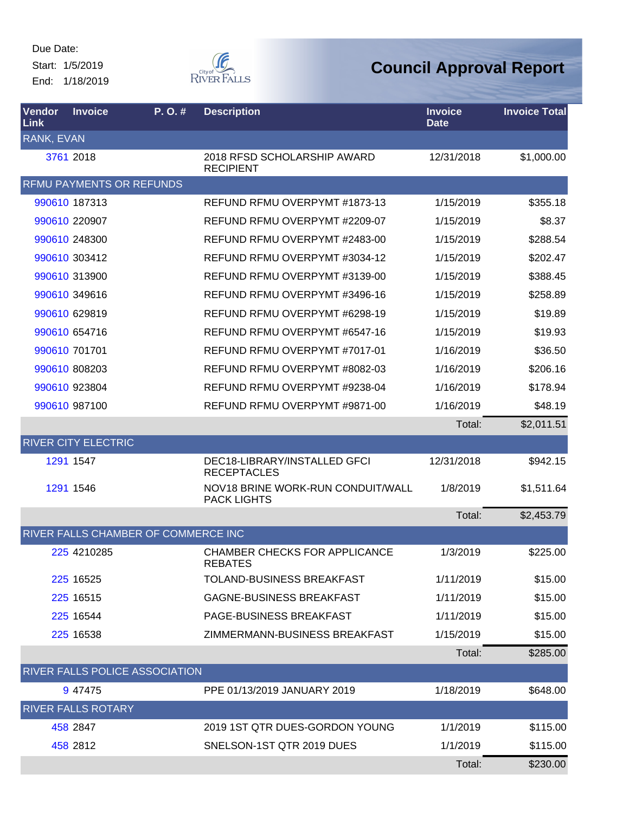Start: 1/5/2019 End: 1/18/2019



| Vendor<br>Link    | <b>Invoice</b>             | P.O.#                                 | <b>Description</b>                                      | <b>Invoice</b><br><b>Date</b> | <b>Invoice Total</b> |
|-------------------|----------------------------|---------------------------------------|---------------------------------------------------------|-------------------------------|----------------------|
| <b>RANK, EVAN</b> |                            |                                       |                                                         |                               |                      |
|                   | 3761 2018                  |                                       | 2018 RFSD SCHOLARSHIP AWARD<br><b>RECIPIENT</b>         | 12/31/2018                    | \$1,000.00           |
|                   |                            | <b>RFMU PAYMENTS OR REFUNDS</b>       |                                                         |                               |                      |
|                   | 990610 187313              |                                       | REFUND RFMU OVERPYMT #1873-13                           | 1/15/2019                     | \$355.18             |
|                   | 990610 220907              |                                       | REFUND RFMU OVERPYMT #2209-07                           | 1/15/2019                     | \$8.37               |
|                   | 990610 248300              |                                       | REFUND RFMU OVERPYMT #2483-00                           | 1/15/2019                     | \$288.54             |
|                   | 990610 303412              |                                       | REFUND RFMU OVERPYMT #3034-12                           | 1/15/2019                     | \$202.47             |
|                   | 990610 313900              |                                       | REFUND RFMU OVERPYMT #3139-00                           | 1/15/2019                     | \$388.45             |
|                   | 990610 349616              |                                       | REFUND RFMU OVERPYMT #3496-16                           | 1/15/2019                     | \$258.89             |
|                   | 990610 629819              |                                       | REFUND RFMU OVERPYMT #6298-19                           | 1/15/2019                     | \$19.89              |
|                   | 990610 654716              |                                       | REFUND RFMU OVERPYMT #6547-16                           | 1/15/2019                     | \$19.93              |
|                   | 990610 701701              |                                       | REFUND RFMU OVERPYMT #7017-01                           | 1/16/2019                     | \$36.50              |
|                   | 990610 808203              |                                       | REFUND RFMU OVERPYMT #8082-03                           | 1/16/2019                     | \$206.16             |
|                   | 990610 923804              |                                       | REFUND RFMU OVERPYMT #9238-04                           | 1/16/2019                     | \$178.94             |
|                   | 990610 987100              |                                       | REFUND RFMU OVERPYMT #9871-00                           | 1/16/2019                     | \$48.19              |
|                   |                            |                                       |                                                         | Total:                        | \$2,011.51           |
|                   | <b>RIVER CITY ELECTRIC</b> |                                       |                                                         |                               |                      |
|                   | 1291 1547                  |                                       | DEC18-LIBRARY/INSTALLED GFCI<br><b>RECEPTACLES</b>      | 12/31/2018                    | \$942.15             |
|                   | 1291 1546                  |                                       | NOV18 BRINE WORK-RUN CONDUIT/WALL<br><b>PACK LIGHTS</b> | 1/8/2019                      | \$1,511.64           |
|                   |                            |                                       |                                                         | Total:                        | \$2,453.79           |
|                   |                            | RIVER FALLS CHAMBER OF COMMERCE INC   |                                                         |                               |                      |
|                   | 225 4210285                |                                       | <b>CHAMBER CHECKS FOR APPLICANCE</b><br><b>REBATES</b>  | 1/3/2019                      | \$225.00             |
|                   | 225 16525                  |                                       | TOLAND-BUSINESS BREAKFAST                               | 1/11/2019                     | \$15.00              |
|                   | 225 16515                  |                                       | <b>GAGNE-BUSINESS BREAKFAST</b>                         | 1/11/2019                     | \$15.00              |
|                   | 225 16544                  |                                       | PAGE-BUSINESS BREAKFAST                                 | 1/11/2019                     | \$15.00              |
|                   | 225 16538                  |                                       | ZIMMERMANN-BUSINESS BREAKFAST                           | 1/15/2019                     | \$15.00              |
|                   |                            |                                       |                                                         | Total:                        | \$285.00             |
|                   |                            | <b>RIVER FALLS POLICE ASSOCIATION</b> |                                                         |                               |                      |
|                   | 9 47475                    |                                       | PPE 01/13/2019 JANUARY 2019                             | 1/18/2019                     | \$648.00             |
|                   | <b>RIVER FALLS ROTARY</b>  |                                       |                                                         |                               |                      |
|                   | 458 2847                   |                                       | 2019 1ST QTR DUES-GORDON YOUNG                          | 1/1/2019                      | \$115.00             |
|                   | 458 2812                   |                                       | SNELSON-1ST QTR 2019 DUES                               | 1/1/2019                      | \$115.00             |
|                   |                            |                                       |                                                         | Total:                        | \$230.00             |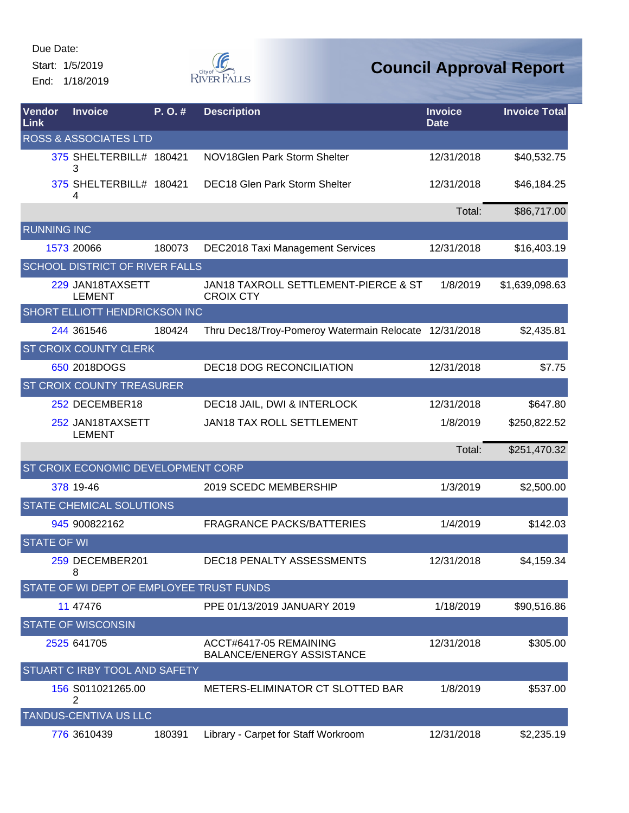Start: 1/5/2019 End: 1/18/2019



| Vendor<br>Link     | <b>Invoice</b>            |                                       | P.O.#  | <b>Description</b>                                         | <b>Invoice</b><br><b>Date</b> | <b>Invoice Total</b> |
|--------------------|---------------------------|---------------------------------------|--------|------------------------------------------------------------|-------------------------------|----------------------|
|                    |                           | <b>ROSS &amp; ASSOCIATES LTD</b>      |        |                                                            |                               |                      |
|                    | З                         | 375 SHELTERBILL# 180421               |        | NOV18Glen Park Storm Shelter                               | 12/31/2018                    | \$40,532.75          |
|                    | 4                         | 375 SHELTERBILL# 180421               |        | <b>DEC18 Glen Park Storm Shelter</b>                       | 12/31/2018                    | \$46,184.25          |
|                    |                           |                                       |        |                                                            | Total:                        | \$86,717.00          |
| <b>RUNNING INC</b> |                           |                                       |        |                                                            |                               |                      |
|                    | 1573 20066                |                                       | 180073 | <b>DEC2018 Taxi Management Services</b>                    | 12/31/2018                    | \$16,403.19          |
|                    |                           | <b>SCHOOL DISTRICT OF RIVER FALLS</b> |        |                                                            |                               |                      |
|                    | <b>LEMENT</b>             | 229 JAN18TAXSETT                      |        | JAN18 TAXROLL SETTLEMENT-PIERCE & ST<br><b>CROIX CTY</b>   | 1/8/2019                      | \$1,639,098.63       |
|                    |                           | SHORT ELLIOTT HENDRICKSON INC         |        |                                                            |                               |                      |
|                    | 244 361546                |                                       | 180424 | Thru Dec18/Troy-Pomeroy Watermain Relocate 12/31/2018      |                               | \$2,435.81           |
|                    |                           | <b>ST CROIX COUNTY CLERK</b>          |        |                                                            |                               |                      |
|                    | 650 2018DOGS              |                                       |        | <b>DEC18 DOG RECONCILIATION</b>                            | 12/31/2018                    | \$7.75               |
|                    |                           | ST CROIX COUNTY TREASURER             |        |                                                            |                               |                      |
|                    |                           | 252 DECEMBER18                        |        | DEC18 JAIL, DWI & INTERLOCK                                | 12/31/2018                    | \$647.80             |
|                    | <b>LEMENT</b>             | 252 JAN18TAXSETT                      |        | JAN18 TAX ROLL SETTLEMENT                                  | 1/8/2019                      | \$250,822.52         |
|                    |                           |                                       |        |                                                            | Total:                        | \$251,470.32         |
|                    |                           | ST CROIX ECONOMIC DEVELOPMENT CORP    |        |                                                            |                               |                      |
|                    | 378 19-46                 |                                       |        | 2019 SCEDC MEMBERSHIP                                      | 1/3/2019                      | \$2,500.00           |
|                    |                           | STATE CHEMICAL SOLUTIONS              |        |                                                            |                               |                      |
|                    | 945 900822162             |                                       |        | <b>FRAGRANCE PACKS/BATTERIES</b>                           | 1/4/2019                      | \$142.03             |
| <b>STATE OF WI</b> |                           |                                       |        |                                                            |                               |                      |
|                    | 8                         | 259 DECEMBER201                       |        | DEC18 PENALTY ASSESSMENTS                                  | 12/31/2018                    | \$4,159.34           |
|                    |                           |                                       |        | STATE OF WI DEPT OF EMPLOYEE TRUST FUNDS                   |                               |                      |
|                    | 11 47476                  |                                       |        | PPE 01/13/2019 JANUARY 2019                                | 1/18/2019                     | \$90,516.86          |
|                    | <b>STATE OF WISCONSIN</b> |                                       |        |                                                            |                               |                      |
|                    | 2525 641705               |                                       |        | ACCT#6417-05 REMAINING<br><b>BALANCE/ENERGY ASSISTANCE</b> | 12/31/2018                    | \$305.00             |
|                    |                           | STUART C IRBY TOOL AND SAFETY         |        |                                                            |                               |                      |
|                    | 2                         | 156 S011021265.00                     |        | METERS-ELIMINATOR CT SLOTTED BAR                           | 1/8/2019                      | \$537.00             |
|                    |                           | TANDUS-CENTIVA US LLC                 |        |                                                            |                               |                      |
|                    | 776 3610439               |                                       | 180391 | Library - Carpet for Staff Workroom                        | 12/31/2018                    | \$2,235.19           |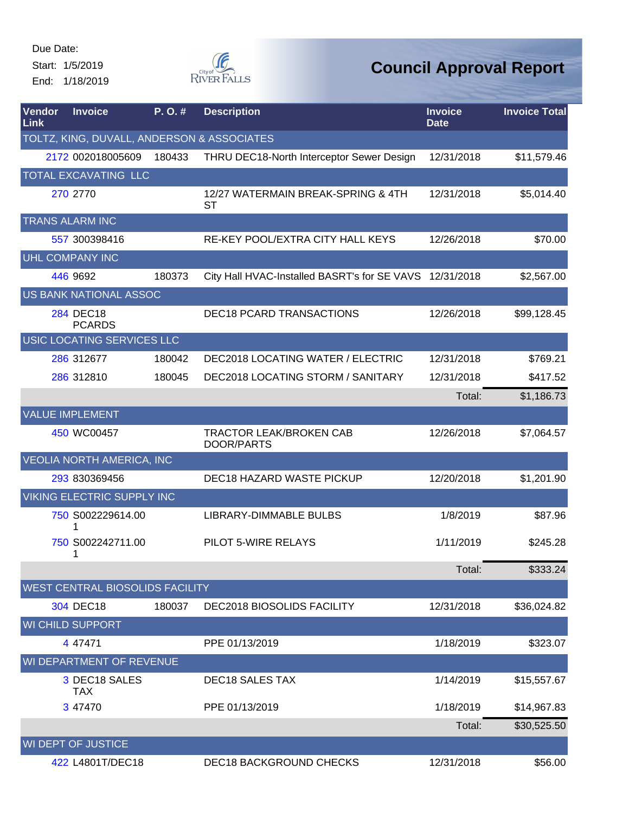Start: 1/5/2019 End: 1/18/2019



| Vendor<br><b>Link</b> | <b>Invoice</b>                             | P.O.#  | <b>Description</b>                                      | <b>Invoice</b><br><b>Date</b> | <b>Invoice Total</b> |
|-----------------------|--------------------------------------------|--------|---------------------------------------------------------|-------------------------------|----------------------|
|                       | TOLTZ, KING, DUVALL, ANDERSON & ASSOCIATES |        |                                                         |                               |                      |
|                       | 2172 002018005609                          | 180433 | THRU DEC18-North Interceptor Sewer Design               | 12/31/2018                    | \$11,579.46          |
|                       | TOTAL EXCAVATING LLC                       |        |                                                         |                               |                      |
|                       | 270 2770                                   |        | 12/27 WATERMAIN BREAK-SPRING & 4TH<br><b>ST</b>         | 12/31/2018                    | \$5,014.40           |
|                       | <b>TRANS ALARM INC</b>                     |        |                                                         |                               |                      |
|                       | 557 300398416                              |        | RE-KEY POOL/EXTRA CITY HALL KEYS                        | 12/26/2018                    | \$70.00              |
|                       | <b>UHL COMPANY INC</b>                     |        |                                                         |                               |                      |
|                       | 446 9692                                   | 180373 | City Hall HVAC-Installed BASRT's for SE VAVS 12/31/2018 |                               | \$2,567.00           |
|                       | US BANK NATIONAL ASSOC                     |        |                                                         |                               |                      |
|                       | 284 DEC18<br><b>PCARDS</b>                 |        | <b>DEC18 PCARD TRANSACTIONS</b>                         | 12/26/2018                    | \$99,128.45          |
|                       | USIC LOCATING SERVICES LLC                 |        |                                                         |                               |                      |
|                       | 286 312677                                 | 180042 | DEC2018 LOCATING WATER / ELECTRIC                       | 12/31/2018                    | \$769.21             |
|                       | 286 312810                                 | 180045 | DEC2018 LOCATING STORM / SANITARY                       | 12/31/2018                    | \$417.52             |
|                       |                                            |        |                                                         | Total:                        | \$1,186.73           |
|                       | <b>VALUE IMPLEMENT</b>                     |        |                                                         |                               |                      |
|                       | 450 WC00457                                |        | <b>TRACTOR LEAK/BROKEN CAB</b><br>DOOR/PARTS            | 12/26/2018                    | \$7,064.57           |
|                       | <b>VEOLIA NORTH AMERICA, INC</b>           |        |                                                         |                               |                      |
|                       | 293 830369456                              |        | DEC18 HAZARD WASTE PICKUP                               | 12/20/2018                    | \$1,201.90           |
|                       | <b>VIKING ELECTRIC SUPPLY INC</b>          |        |                                                         |                               |                      |
|                       | 750 S002229614.00                          |        | LIBRARY-DIMMABLE BULBS                                  | 1/8/2019                      | \$87.96              |
|                       | 750 S002242711.00<br>1                     |        | PILOT 5-WIRE RELAYS                                     | 1/11/2019                     | \$245.28             |
|                       |                                            |        |                                                         | Total:                        | \$333.24             |
|                       | <b>WEST CENTRAL BIOSOLIDS FACILITY</b>     |        |                                                         |                               |                      |
|                       | 304 DEC18                                  | 180037 | DEC2018 BIOSOLIDS FACILITY                              | 12/31/2018                    | \$36,024.82          |
|                       | <b>WI CHILD SUPPORT</b>                    |        |                                                         |                               |                      |
|                       | 4 47471                                    |        | PPE 01/13/2019                                          | 1/18/2019                     | \$323.07             |
|                       | WI DEPARTMENT OF REVENUE                   |        |                                                         |                               |                      |
|                       | 3 DEC18 SALES<br><b>TAX</b>                |        | <b>DEC18 SALES TAX</b>                                  | 1/14/2019                     | \$15,557.67          |
|                       | 3 47470                                    |        | PPE 01/13/2019                                          | 1/18/2019                     | \$14,967.83          |
|                       |                                            |        |                                                         | Total:                        | \$30,525.50          |
|                       | WI DEPT OF JUSTICE                         |        |                                                         |                               |                      |
|                       | 422 L4801T/DEC18                           |        | <b>DEC18 BACKGROUND CHECKS</b>                          | 12/31/2018                    | \$56.00              |